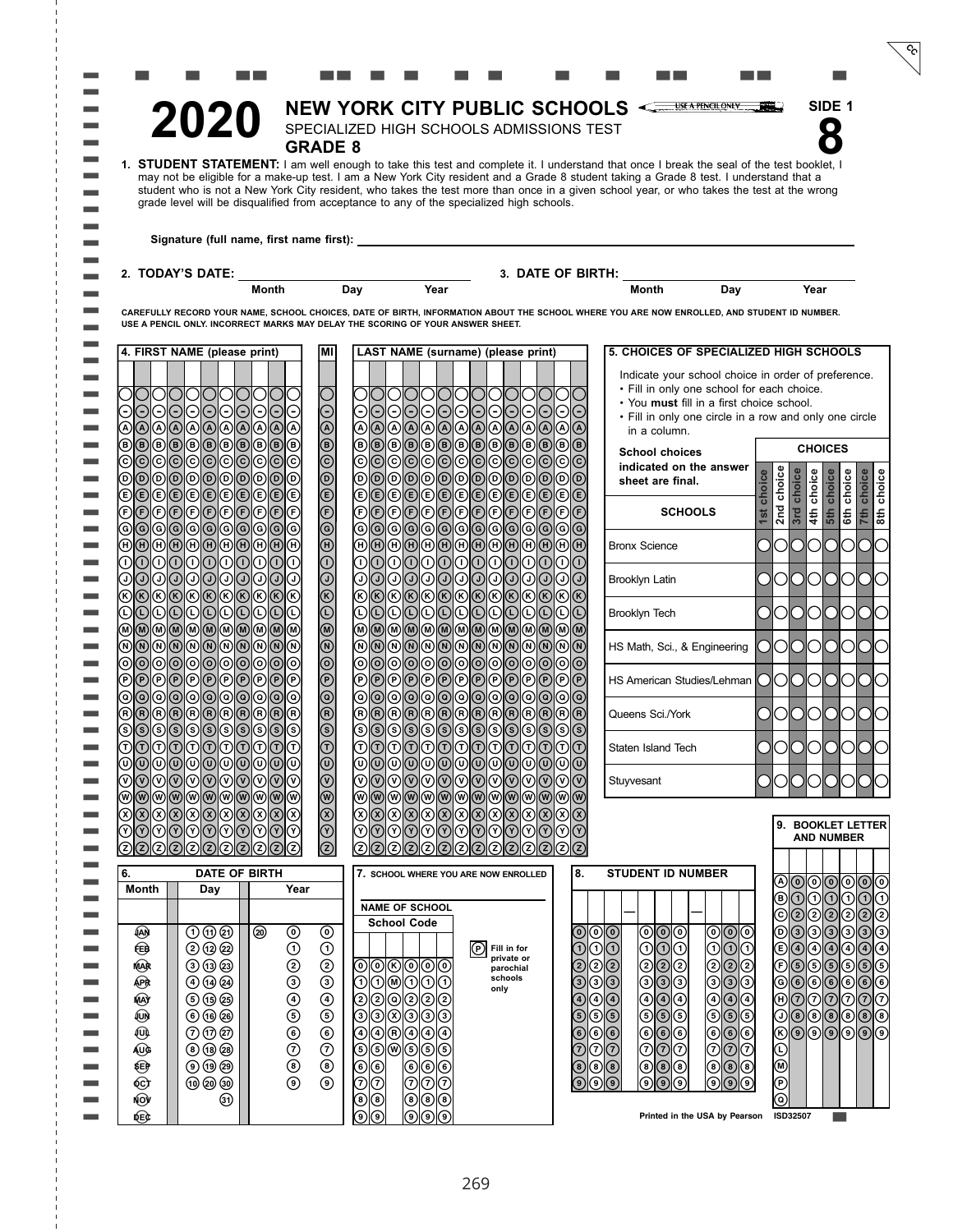|                     |                                                                |                                                                                          |                                                    |                                                |                                                       |                                           |                    |                                 |                                           |                                           | NEW YORK CITY PUBLIC SCHOOLS                                                                                                                                                                                                                                                       |                                                      |                                 | SIDE 1            |                                                                                                |
|---------------------|----------------------------------------------------------------|------------------------------------------------------------------------------------------|----------------------------------------------------|------------------------------------------------|-------------------------------------------------------|-------------------------------------------|--------------------|---------------------------------|-------------------------------------------|-------------------------------------------|------------------------------------------------------------------------------------------------------------------------------------------------------------------------------------------------------------------------------------------------------------------------------------|------------------------------------------------------|---------------------------------|-------------------|------------------------------------------------------------------------------------------------|
|                     |                                                                | 2020                                                                                     |                                                    |                                                | SPECIALIZED HIGH SCHOOLS ADMISSIONS TEST              |                                           |                    |                                 |                                           |                                           |                                                                                                                                                                                                                                                                                    |                                                      |                                 |                   |                                                                                                |
|                     |                                                                |                                                                                          |                                                    | <b>GRADE 8</b>                                 |                                                       |                                           |                    |                                 |                                           |                                           |                                                                                                                                                                                                                                                                                    |                                                      |                                 |                   |                                                                                                |
|                     |                                                                |                                                                                          |                                                    |                                                |                                                       |                                           |                    |                                 |                                           |                                           | 1. STUDENT STATEMENT: I am well enough to take this test and complete it. I understand that once I break the seal of the test booklet, I<br>may not be eligible for a make-up test. I am a New York City resident and a Grade 8 student taking a Grade 8 test. I understand that a |                                                      |                                 |                   |                                                                                                |
|                     |                                                                | grade level will be disqualified from acceptance to any of the specialized high schools. |                                                    |                                                |                                                       |                                           |                    |                                 |                                           |                                           | student who is not a New York City resident, who takes the test more than once in a given school year, or who takes the test at the wrong                                                                                                                                          |                                                      |                                 |                   |                                                                                                |
|                     |                                                                |                                                                                          |                                                    |                                                |                                                       |                                           |                    |                                 |                                           |                                           |                                                                                                                                                                                                                                                                                    |                                                      |                                 |                   |                                                                                                |
|                     |                                                                |                                                                                          |                                                    |                                                |                                                       |                                           |                    |                                 |                                           |                                           |                                                                                                                                                                                                                                                                                    |                                                      |                                 |                   |                                                                                                |
|                     |                                                                | 2. TODAY'S DATE:                                                                         | <u> 1989 - Johann Barbara, martxa alemaniar a</u>  |                                                |                                                       |                                           |                    | 3. DATE OF BIRTH:               |                                           |                                           |                                                                                                                                                                                                                                                                                    |                                                      |                                 |                   |                                                                                                |
|                     |                                                                |                                                                                          | Month                                              |                                                | Day                                                   | Year                                      |                    |                                 |                                           |                                           | <b>Month</b>                                                                                                                                                                                                                                                                       | Day                                                  |                                 | Year              |                                                                                                |
|                     |                                                                | USE A PENCIL ONLY. INCORRECT MARKS MAY DELAY THE SCORING OF YOUR ANSWER SHEET.           |                                                    |                                                |                                                       |                                           |                    |                                 |                                           |                                           | CAREFULLY RECORD YOUR NAME, SCHOOL CHOICES, DATE OF BIRTH, INFORMATION ABOUT THE SCHOOL WHERE YOU ARE NOW ENROLLED, AND STUDENT ID NUMBER.                                                                                                                                         |                                                      |                                 |                   |                                                                                                |
|                     |                                                                |                                                                                          |                                                    |                                                |                                                       |                                           |                    |                                 |                                           |                                           |                                                                                                                                                                                                                                                                                    |                                                      |                                 |                   |                                                                                                |
|                     |                                                                | 4. FIRST NAME (please print)                                                             |                                                    | lмı                                            |                                                       | LAST NAME (surname) (please print)        |                    |                                 |                                           |                                           | 5. CHOICES OF SPECIALIZED HIGH SCHOOLS                                                                                                                                                                                                                                             |                                                      |                                 |                   |                                                                                                |
|                     |                                                                |                                                                                          |                                                    |                                                |                                                       |                                           |                    |                                 |                                           |                                           | Indicate your school choice in order of preference.<br>• Fill in only one school for each choice.                                                                                                                                                                                  |                                                      |                                 |                   |                                                                                                |
|                     | Θ<br>$\left( \text{-} \right)$                                 | 0101010<br>000000<br>Θ                                                                   | Θ                                                  | Θ                                              | Θ                                                     | uuu<br>00000000                           | 101010             | O<br>1010                       | ΘIΕ                                       | • You must fill in a first choice school. |                                                                                                                                                                                                                                                                                    |                                                      |                                 |                   |                                                                                                |
|                     | ⊛∣<br>⊛                                                        | ® ® ® ® ® ® ®<br>$  \text{\O}  $                                                         |                                                    | $^{\circledR}$                                 |                                                       | @ @ @ @ @ @ @ @ @ @ @                     |                    |                                 | @ @                                       |                                           | • Fill in only one circle in a row and only one circle<br>in a column.                                                                                                                                                                                                             |                                                      |                                 |                   |                                                                                                |
|                     | $\circledcirc$<br>◉                                            | 0 0 0 0 0 0 0 0 0                                                                        |                                                    | $\bar{\textcircled{\small{0}}}$                | $^{\circledR}$                                        | 00000000000                               |                    |                                 | $\circledcirc$                            |                                           | <b>School choices</b>                                                                                                                                                                                                                                                              |                                                      |                                 | <b>CHOICES</b>    |                                                                                                |
|                     | $\odot$<br>⊚<br>ල)                                             | © © © © ©                                                                                | (c)<br>©                                           | $\bar{\circ}$                                  |                                                       | ©©©©©©©©©©                                |                    |                                 | $^{\copyright}$<br>⊚<br>$\left( c\right)$ |                                           | indicated on the answer                                                                                                                                                                                                                                                            |                                                      |                                 |                   |                                                                                                |
|                     | $\circledcirc$<br>⊚<br>$\circledR$<br>®<br>℗                   | 00000<br>$^{\circledR}$<br>(0)0)0)0)0)0)0                                                | ⊚<br>டு                                            | $\circlede$                                    |                                                       | 000000000<br>00000000000                  |                    | $^{\copyright}$                 | டு<br>@<br>e)                             |                                           | sheet are final.                                                                                                                                                                                                                                                                   | <b>ce</b><br>choi                                    | choice<br>choice                | choice<br>choice  | choice<br>choice<br>choice                                                                     |
|                     | (F)(F)                                                         | <b>ODDDDDDD</b>                                                                          | (F)                                                | $\overline{\mathfrak{S}}$                      |                                                       | 000000000000                              |                    |                                 | (F) (F)                                   |                                           | <b>SCHOOLS</b>                                                                                                                                                                                                                                                                     | 1st                                                  | 2 <sub>nd</sub><br>3rd          | 북<br>5th          | l€<br>회회                                                                                       |
|                     | ⊚<br>$\circledcirc$                                            | © © © © © © ©                                                                            | ⊚                                                  | $\circledcirc$                                 | ⊚                                                     | © © © © © © © © ©                         |                    |                                 | $\circledcirc$<br>$\circledcirc$          |                                           |                                                                                                                                                                                                                                                                                    |                                                      |                                 |                   |                                                                                                |
|                     | டுடு<br>∩<br>⋒                                                 | @@@@@@@@@@<br>⋒<br>നര<br>⊕<br>$\left( \left  {}\right)$                                  | (1)                                                | $\overline{\Theta}$<br>$\overline{\odot}$      | (A)<br>∩<br>ന                                         | ®®®®®®®®®®<br>000                         | 0000               | തി                              | $\Theta(\mathsf{H})$<br>വസ                |                                           | <b>Bronx Science</b>                                                                                                                                                                                                                                                               | Э                                                    | ()                              | ( )               |                                                                                                |
|                     | ①<br>⊙∣<br>D)                                                  | 0101010<br><b>①</b>                                                                      | (၂)<br>(J)                                         | $\odot$                                        | ᠗                                                     | $O$   $O$   $O$   $O$                     | O O O O            | ⊙∣                              | こうしょう (の)<br>டுடு                         |                                           | Brooklyn Latin                                                                                                                                                                                                                                                                     |                                                      |                                 |                   | OK.                                                                                            |
|                     | $\circledR$<br>(K)                                             | ©©©©©©©                                                                                  |                                                    | $\circledR$                                    | $^\text{\tiny{\textregistered}}$                      | ©©©©©©©©                                  |                    | $\circledR$                     | R(R)                                      |                                           |                                                                                                                                                                                                                                                                                    |                                                      |                                 |                   |                                                                                                |
|                     | $\odot$<br>D<br>$_{\mathbb{O}}$<br>⊛⊚                          | O O O O O<br>$\odot$<br> ® ® ® ® ® ® ® ® ®                                               | C                                                  | $\overline{\mathbb{O}}$                        | (M)                                                   | 00000000000<br><u>® ® ® ® ® ® ® ® ® ®</u> |                    |                                 | O<br>(L)[(r)]<br>(M)(m)                   |                                           | Brooklyn Tech                                                                                                                                                                                                                                                                      |                                                      | О                               | O                 | OO                                                                                             |
|                     | <b>(M)</b><br>⊛<br>N)                                          | $\circledR$<br>$\circledR$<br> ಄  ©                                                      | (ଜ)<br>$(\widehat{\mathsf{n}})$                    | $\bar{c}$                                      | ⋒                                                     | $\circledR$ $\circledR$ $\circledR$       | $\textcircled{a}$  | $\circledR$                     | $\circledR$<br>M)                         |                                           | HS Math, Sci., & Engineering  OOOOO                                                                                                                                                                                                                                                |                                                      |                                 | C)                | ЮO                                                                                             |
|                     | ල<br>൫<br>⊚                                                    | <u>   ©  ©  ©  ©  ©  </u><br> ල<br>©©©©©©©                                               | (P)                                                | $\circledcirc$<br>$^{\circledR}$               | ⊚                                                     | 000000000000<br>©©©©©©©©                  |                    | $\circledcirc$                  | രിര<br>@©                                 |                                           | HS American Studies/Lehman 00000                                                                                                                                                                                                                                                   |                                                      |                                 |                   | OO                                                                                             |
|                     | $^{\copyright}$<br> ⊚<br>⊚                                     | © © © © © © ©                                                                            |                                                    | $\circledcirc$                                 | ⊚                                                     |                                           |                    |                                 | $\circledcirc$<br>$\circledcirc$          |                                           |                                                                                                                                                                                                                                                                                    |                                                      |                                 |                   |                                                                                                |
|                     | $^{\circledR}$<br>(用)<br>(R)<br>(၆)                            | $^{\circledR}$<br>$\circledR$ $\circledR$ $\circledR$                                    | ®®<br>O                                            | $\bar{\textcircled{\tiny 0}}$<br>$\bar{\circ}$ | ์ คิ<br>(s)                                           | ®®®®®®®®®®<br>I© © © © © © © ©            |                    |                                 | ®®<br>$\circledS$<br>(SIG                 |                                           | Queens Sci./York                                                                                                                                                                                                                                                                   |                                                      | 00001                           | 0                 | O O                                                                                            |
|                     | F)<br>നി                                                       | (9 6 9 6 9 1<br>૭<br>回の回のの                                                               | ಄<br>നിന<br>(T)                                    | $\bigcirc$                                     | (ন)                                                   | രിരിരിരിരിരിര                             |                    | ⑦⑦                              | 门门                                        |                                           | Staten Island Tech                                                                                                                                                                                                                                                                 |                                                      |                                 |                   |                                                                                                |
|                     |                                                                |                                                                                          |                                                    |                                                |                                                       |                                           |                    |                                 |                                           |                                           |                                                                                                                                                                                                                                                                                    |                                                      |                                 |                   |                                                                                                |
| <b>College</b>      | $^{\circledR}$<br>$^\circledR$<br>$^{\copyright}$<br>⊛∣<br>®∣⊛ | $\circledcirc$<br>  <b>⊙</b>  ⊙ ⊙ ⊙ ⊙ ⊙<br>∣⊛                                            | ಄⊚                                                 | 9889                                           | $\circledcirc$<br>$^{\circledR}$                      | <u>୦୦୦୦୦</u><br>୭୭୭୭<br>୭୭୭୭୭             | ©∣⊙∣⊙∣⊙<br>© © © © | $\circledcirc$<br>֎∖®           | $\circledcirc$<br>⊚∣⊙<br>಄಄               |                                           | Stuyvesant                                                                                                                                                                                                                                                                         |                                                      |                                 |                   |                                                                                                |
| <b>The Colombia</b> | $^{\circledR}$<br>$^{\circledR}$<br>⊗                          | ାଭାଭାଭାଭା<br>⊗⊗⊗⊗ା⊗ା<br>$\circledR$                                                      | $\circledR$                                        |                                                | ⊛                                                     |                                           | ⊗∣⊗∣⊗              | $\bar{\circ}$<br>$^{\circledR}$ | $\overline{\circ}$<br>$\circledR$         |                                           |                                                                                                                                                                                                                                                                                    |                                                      |                                 |                   |                                                                                                |
| <b>The Co</b>       | $^\circledR$<br>⊛<br>᠓                                         | $\oslash$<br>$\circledcirc$<br>$  \odot   \odot$                                         | ⊙<br>$\circledcirc$<br>$^\copyright$               |                                                | ⊛                                                     |                                           | ⊙ ⊙ ⊙              | $\circledcirc$<br>⊛             | $\circledcirc$<br>$\circledcirc$          |                                           |                                                                                                                                                                                                                                                                                    |                                                      |                                 | <b>AND NUMBER</b> | 9. BOOKLET LETTER                                                                              |
|                     | (ව $\odot$<br>(2)<br>②                                         | ©  2  2  2  2                                                                            | (2)<br>$\left( 2\right)$                           | $\circledcirc$                                 | $\circled{z}$<br>(2)<br>➁                             | $\circledR$<br>(වලි                       | (ව $ z $           | (2)<br>(2)<br>(2)               | $\circled{z}$<br>ව∣ව                      |                                           |                                                                                                                                                                                                                                                                                    |                                                      |                                 |                   |                                                                                                |
| . .                 | 6.<br>Month                                                    | <b>DATE OF BIRTH</b><br>Day                                                              | Year                                               |                                                |                                                       | 7. SCHOOL WHERE YOU ARE NOW ENROLLED      |                    |                                 | 8.                                        |                                           | <b>STUDENT ID NUMBER</b>                                                                                                                                                                                                                                                           |                                                      | ⊛                               |                   | $  \circledcirc   \circledcirc   \circlearrowright  $<br>⊚                                     |
|                     |                                                                |                                                                                          |                                                    |                                                |                                                       | <b>NAME OF SCHOOL</b>                     |                    |                                 |                                           |                                           |                                                                                                                                                                                                                                                                                    |                                                      | ◉<br>$\odot$                    | ⊙∣                | ⊙ ⊙ ⊙<br>$_{\tiny\textregistered}$                                                             |
|                     | ఱ                                                              | 0@                                                                                       | ⊛<br>$^{\circ}$                                    | $^{\circ}$                                     |                                                       | <b>School Code</b>                        |                    |                                 | $^{\copyright}$                           | ⊙ ⊙                                       | $\circ$ $\circ$                                                                                                                                                                                                                                                                    | $\overline{\mathbb{O} \mathbb{O} }$<br>$^\copyright$ | $\dot{Q}$<br>©<br>$^\copyright$ |                   | $  \textcircled{\scriptsize{2}}   \textcircled{\scriptsize{2}}  $<br>☺<br>00000<br>⊚           |
|                     | ⊕                                                              | <b>② ⑫ ②</b>                                                                             | $\odot$                                            |                                                |                                                       |                                           | $(\mathsf{P})$     | Fill in for                     | D                                         | டு                                        | டு⊙<br>ூ⊙                                                                                                                                                                                                                                                                          |                                                      |                                 |                   | © ⊙ ⊙ ⊙ ⊙ ⊙ <br>④                                                                              |
|                     | mar                                                            | のねめ                                                                                      |                                                    | ⊙<br>ම                                         | ◉                                                     | © © ⊙ © ©                                 |                    | private or<br>parochial         | ②                                         |                                           | @ <br>ම<br>@  <br>ම  <br>ම                                                                                                                                                                                                                                                         | <u>ම</u>                                             | © © © <br> © © ©                | $\circledS$       | $\circledS$<br><b>டு</b> டு                                                                    |
|                     | ⊕                                                              | $\bigcirc$ $\bigcirc$ $\bigcirc$                                                         |                                                    |                                                | 0                                                     | ಄© ⊙ ⊙                                    |                    | schools<br>only                 |                                           |                                           |                                                                                                                                                                                                                                                                                    | 00000                                                |                                 | $\circledcirc$    | $\circ$<br>$\circledast$                                                                       |
|                     | ⊛<br>⊛                                                         | 6 1 2<br>⑤ ⑤ ②                                                                           |                                                    | $\circledcirc$<br>$\circledS$                  | ⊚                                                     |                                           |                    |                                 | ④<br>T                                    | $\circledcirc$<br>டு⊚                     | $\overline{\textcircled{\tiny 4}}$<br>④ ④ ④<br>$\circ$ $\circ$                                                                                                                                                                                                                     |                                                      | டு⊚                             |                   | $  \oslash   \oslash   \oslash  $<br>$^\copyright$<br>$  \circ   \circ   \circ   \circ  $<br>◉ |
|                     | ⊕                                                              | ののの                                                                                      |                                                    | $\circledcirc$                                 | $\circledcirc$                                        | (4)                                       |                    |                                 | ⊛                                         | $\circledcirc$                            | ಄ ⊚ ⊙                                                                                                                                                                                                                                                                              | $\circ$                                              |                                 |                   | 000000                                                                                         |
| <b>Contract</b>     | AU)G                                                           | $\circledcirc$ $\circledcirc$                                                            |                                                    | <u>ල</u>                                       | 000<br>000<br><u>ම</u><br>$\circledS$                 | ெ                                         |                    |                                 | 7                                         | ℗<br>$\circledcirc$                       | ⑦<br>® <mark>®</mark><br>⊙∣⊙<br>ସ                                                                                                                                                                                                                                                  | $\circledcirc$                                       |                                 |                   |                                                                                                |
|                     | ☜                                                              | $\odot$ $\odot$ $\odot$                                                                  | $\begin{array}{c} 0 \\ 0 \\ 0 \\ 0 \\ \end{array}$ |                                                | $\bar{\textcircled{\scriptsize{6}}}$                  | ⊚⊚<br>◉                                   |                    |                                 |                                           | $^{\circledR}$<br>$\circledast$           | ◉<br>$  \circledS  $                                                                                                                                                                                                                                                               |                                                      | <u>98080</u>                    |                   |                                                                                                |
|                     | 对<br>NOV                                                       | 0000<br>☜                                                                                |                                                    | $^{\circ}$                                     | ŏ<br>℗<br>$^{\circledR}$<br>◉                         | ℗<br>⊙∣ල                                  |                    |                                 | $\circledcirc$                            | $\circledcirc$<br>◉                       | $\bar{\odot}\bar{\odot}$<br>಄<br>(໑ັ                                                                                                                                                                                                                                               | $\circ$                                              | @                               |                   |                                                                                                |
|                     | 凾                                                              |                                                                                          |                                                    |                                                | $\bar{\textcircled{\scriptsize 0}}$<br>$\circledcirc$ | ම ම ම<br><u> ම ම </u> ම                   |                    |                                 |                                           |                                           | Printed in the USA by Pearson                                                                                                                                                                                                                                                      |                                                      | ISD32507                        |                   |                                                                                                |
|                     |                                                                |                                                                                          |                                                    |                                                |                                                       |                                           |                    |                                 |                                           |                                           |                                                                                                                                                                                                                                                                                    |                                                      |                                 |                   |                                                                                                |

 $\overline{c}$